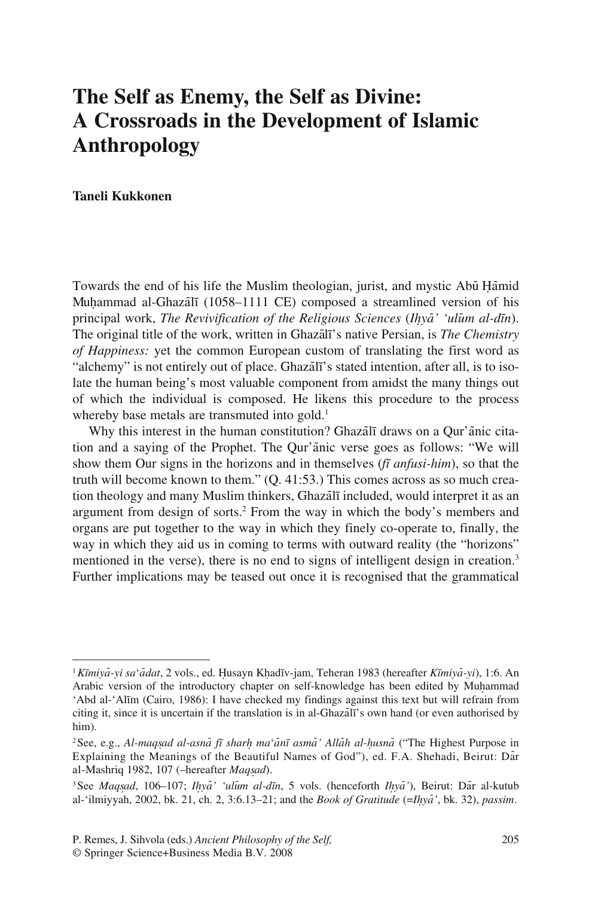# **The Self as Enemy, the Self as Divine: A Crossroads in the Development of Islamic Anthropology**

**Taneli Kukkonen**

Towards the end of his life the Muslim theologian, jurist, and mystic Abū Hāmid Muhammad al-Ghazalī (1058–1111 CE) composed a streamlined version of his principal work, *The Revivification of the Religious Sciences* (*Ihyā*<sup>,</sup> 'ulum al-dīn). The original title of the work, written in Ghazali<sup>3</sup>'s native Persian, is *The Chemistry of Happiness:* yet the common European custom of translating the first word as "alchemy" is not entirely out of place. Ghazali's stated intention, after all, is to isolate the human being's most valuable component from amidst the many things out of which the individual is composed. He likens this procedure to the process whereby base metals are transmuted into gold.<sup>1</sup>

Why this interest in the human constitution? Ghazali draws on a Qur'anic citation and a saying of the Prophet. The Qur'anic verse goes as follows: "We will show them Our signs in the horizons and in themselves (*fī anfusi-him*), so that the truth will become known to them." (Q. 41:53.) This comes across as so much creation theology and many Muslim thinkers, Ghazali included, would interpret it as an argument from design of sorts.<sup>2</sup> From the way in which the body's members and organs are put together to the way in which they finely co-operate to, finally, the way in which they aid us in coming to terms with outward reality (the "horizons" mentioned in the verse), there is no end to signs of intelligent design in creation.<sup>3</sup> Further implications may be teased out once it is recognised that the grammatical

<sup>&</sup>lt;sup>1</sup> Kīmiyā-yi sa'*ādat*, 2 vols., ed. Husayn Khadīv-jam, Teheran 1983 (hereafter *Kīmiyā-yi*), 1:6. An Arabic version of the introductory chapter on self-knowledge has been edited by Muhammad 'Abd al-'Alīm (Cairo, 1986): I have checked my findings against this text but will refrain from citing it, since it is uncertain if the translation is in al-Ghazali<sup>'</sup>s own hand (or even authorised by him).

<sup>&</sup>lt;sup>2</sup> See, e.g., Al-maqsad al-asna<sup>f</sup> f sharh ma'anī asma' Allah al-husna ("The Highest Purpose in Explaining the Meanings of the Beautiful Names of God"), ed. F.A. Shehadi, Beirut: Dar al-Mashriq 1982, 107 (–hereafter *Maqs*.*ad*).

<sup>&</sup>lt;sup>3</sup> See *Maqsad*, 106–107; *Ihya' 'ulum al-dīn*, 5 vols. (henceforth *Ihya'*), Beirut: Dār al-kutub al-'ilmiyyah, 2002, bk. 21, ch. 2, 3:6.13–21; and the *Book of Gratitude* (=*Ih.ya- '*, bk. 32), *passim*.

<sup>©</sup> Springer Science+Business Media B.V. 2008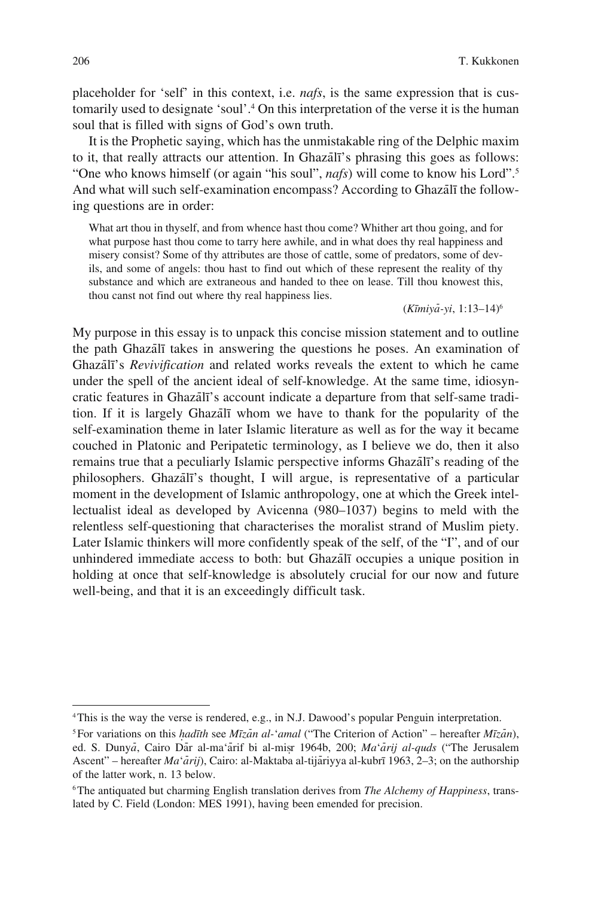placeholder for 'self' in this context, i.e. *nafs*, is the same expression that is customarily used to designate 'soul'.4 On this interpretation of the verse it is the human soul that is filled with signs of God's own truth.

It is the Prophetic saying, which has the unmistakable ring of the Delphic maxim to it, that really attracts our attention. In Ghazali's phrasing this goes as follows: "One who knows himself (or again "his soul", *nafs*) will come to know his Lord".5 And what will such self-examination encompass? According to Ghazali the following questions are in order:

What art thou in thyself, and from whence hast thou come? Whither art thou going, and for what purpose hast thou come to tarry here awhile, and in what does thy real happiness and misery consist? Some of thy attributes are those of cattle, some of predators, some of devils, and some of angels: thou hast to find out which of these represent the reality of thy substance and which are extraneous and handed to thee on lease. Till thou knowest this, thou canst not find out where thy real happiness lies.

# (*Kīmiya- -yi*, 1:13–14)6

My purpose in this essay is to unpack this concise mission statement and to outline the path Ghazali takes in answering the questions he poses. An examination of Ghazālī's *Revivification* and related works reveals the extent to which he came under the spell of the ancient ideal of self-knowledge. At the same time, idiosyncratic features in Ghazālī's account indicate a departure from that self-same tradition. If it is largely Ghazali whom we have to thank for the popularity of the self-examination theme in later Islamic literature as well as for the way it became couched in Platonic and Peripatetic terminology, as I believe we do, then it also remains true that a peculiarly Islamic perspective informs Ghazali<sup>'</sup>s reading of the philosophers. Ghazali's thought, I will argue, is representative of a particular moment in the development of Islamic anthropology, one at which the Greek intellectualist ideal as developed by Avicenna (980–1037) begins to meld with the relentless self-questioning that characterises the moralist strand of Muslim piety. Later Islamic thinkers will more confidently speak of the self, of the "I", and of our unhindered immediate access to both: but Ghazali occupies a unique position in holding at once that self-knowledge is absolutely crucial for our now and future well-being, and that it is an exceedingly difficult task.

<sup>4</sup> This is the way the verse is rendered, e.g., in N.J. Dawood's popular Penguin interpretation.

<sup>&</sup>lt;sup>5</sup> For variations on this *hadīth* see *Mīzan al-'amal* ("The Criterion of Action" – hereafter *Mīzan*), ed. S. Duny*a -* , Cairo Da-r al-ma'a-rif bi al-mis.r 1964b, 200; *Ma*'*a - rij al-quds* ("The Jerusalem Ascent" – hereafter *Ma*'*a - rij*), Cairo: al-Maktaba al-tija-riyya al-kubrī 1963, 2–3; on the authorship of the latter work, n. 13 below.

<sup>6</sup> The antiquated but charming English translation derives from *The Alchemy of Happiness*, translated by C. Field (London: MES 1991), having been emended for precision.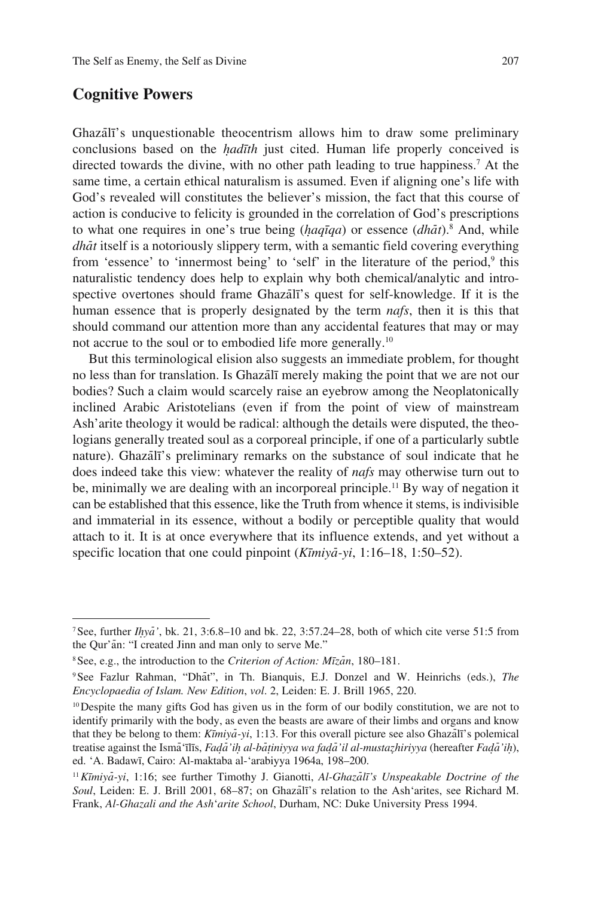### **Cognitive Powers**

Ghazālī's unquestionable theocentrism allows him to draw some preliminary conclusions based on the *h*.*adīth* just cited. Human life properly conceived is directed towards the divine, with no other path leading to true happiness.7 At the same time, a certain ethical naturalism is assumed. Even if aligning one's life with God's revealed will constitutes the believer's mission, the fact that this course of action is conducive to felicity is grounded in the correlation of God's prescriptions to what one requires in one's true being  $(haq\bar{q}q)$  or essence  $(dh\bar{a}t)$ .<sup>8</sup> And, while *dhāt* itself is a notoriously slippery term, with a semantic field covering everything from 'essence' to 'innermost being' to 'self' in the literature of the period,<sup>9</sup> this naturalistic tendency does help to explain why both chemical/analytic and introspective overtones should frame Ghazali's quest for self-knowledge. If it is the human essence that is properly designated by the term *nafs*, then it is this that should command our attention more than any accidental features that may or may not accrue to the soul or to embodied life more generally.10

But this terminological elision also suggests an immediate problem, for thought no less than for translation. Is Ghazalī merely making the point that we are not our bodies? Such a claim would scarcely raise an eyebrow among the Neoplatonically inclined Arabic Aristotelians (even if from the point of view of mainstream Ash'arite theology it would be radical: although the details were disputed, the theologians generally treated soul as a corporeal principle, if one of a particularly subtle nature). Ghazali's preliminary remarks on the substance of soul indicate that he does indeed take this view: whatever the reality of *nafs* may otherwise turn out to be, minimally we are dealing with an incorporeal principle.<sup>11</sup> By way of negation it can be established that this essence, like the Truth from whence it stems, is indivisible and immaterial in its essence, without a bodily or perceptible quality that would attach to it. It is at once everywhere that its influence extends, and yet without a specific location that one could pinpoint (*Kīmiya- -yi*, 1:16–18, 1:50–52).

<sup>&</sup>lt;sup>7</sup> See, further *Ihya<sup>'</sup>*, bk. 21, 3:6.8–10 and bk. 22, 3:57.24–28, both of which cite verse 51:5 from the Qur'an: "I created Jinn and man only to serve Me."

<sup>&</sup>lt;sup>8</sup> See, e.g., the introduction to the *Criterion of Action: Mīzān*, 180–181.

<sup>&</sup>lt;sup>9</sup> See Fazlur Rahman, "Dhāt", in Th. Bianquis, E.J. Donzel and W. Heinrichs (eds.), The *Encyclopaedia of Islam. New Edition*, *vol*. 2, Leiden: E. J. Brill 1965, 220.

<sup>&</sup>lt;sup>10</sup> Despite the many gifts God has given us in the form of our bodily constitution, we are not to identify primarily with the body, as even the beasts are aware of their limbs and organs and know that they be belong to them: *KImiya-yi*, 1:13. For this overall picture see also Ghazali's polemical that they be belong to them: *KImiya-yi*, 1:13. For this overall picture see also Ghazali's polemical treatise against the Isma<sup>\*</sup>ilis, *Fada<sup>\*</sup>ih al-batiniyya wa fada<sup>\*</sup>il al-mustazhiriyya* (hereafter *Fada\*ih*), ed. 'A. Badawī, Cairo: Al-maktaba al-'arabiyya 1964a, 198–200.

<sup>&</sup>lt;sup>11</sup> Kīmiya-yi, 1:16; see further Timothy J. Gianotti, *Al-Ghazalī's Unspeakable Doctrine of the* Soul, Leiden: E. J. Brill 2001, 68–87; on Ghazali<sup>3</sup>'s relation to the Ash'arites, see Richard M. Frank, *Al-Ghazali and the Ash*'*arite School*, Durham, NC: Duke University Press 1994.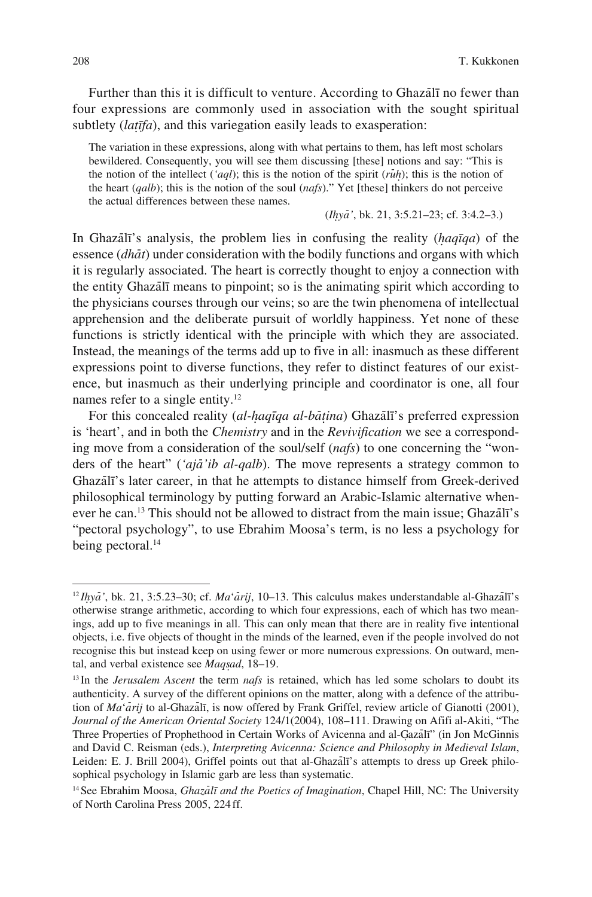Further than this it is difficult to venture. According to Ghazali no fewer than four expressions are commonly used in association with the sought spiritual subtlety *(lat<sub>ifa</sub>)*, and this variegation easily leads to exasperation:

The variation in these expressions, along with what pertains to them, has left most scholars bewildered. Consequently, you will see them discussing [these] notions and say: "This is the notion of the intellect (*'aql*); this is the notion of the spirit (*ruh*); this is the notion of the notion of the heart (*qalb*); this is the notion of the soul (*nafs*)." Yet [these] thinkers do not perceive the actual differences between these names.

(*Ih*.*ya- '*, bk. 21, 3:5.21–23; cf. 3:4.2–3.)

In Ghazali's analysis, the problem lies in confusing the reality (*haqīqa*) of the essence  $(dh\bar{a}t)$  under consideration with the bodily functions and organs with which it is regularly associated. The heart is correctly thought to enjoy a connection with the entity Ghazālī means to pinpoint; so is the animating spirit which according to the physicians courses through our veins; so are the twin phenomena of intellectual apprehension and the deliberate pursuit of worldly happiness. Yet none of these functions is strictly identical with the principle with which they are associated. Instead, the meanings of the terms add up to five in all: inasmuch as these different expressions point to diverse functions, they refer to distinct features of our existence, but inasmuch as their underlying principle and coordinator is one, all four names refer to a single entity.<sup>12</sup>

For this concealed reality (*al-haqīqa al-bāṭina*) Ghazālī's preferred expression is 'heart', and in both the *Chemistry* and in the *Revivification* we see a corresponding move from a consideration of the soul/self (*nafs*) to one concerning the "wonders of the heart" (*'aja- 'ib al-qalb*). The move represents a strategy common to Ghazālī's later career, in that he attempts to distance himself from Greek-derived philosophical terminology by putting forward an Arabic-Islamic alternative whenever he can.<sup>13</sup> This should not be allowed to distract from the main issue; Ghazali's "pectoral psychology", to use Ebrahim Moosa's term, is no less a psychology for being pectoral.<sup>14</sup>

<sup>&</sup>lt;sup>12</sup> *Ihya'*, bk. 21, 3:5.23–30; cf. *Ma'arij*, 10–13. This calculus makes understandable al-Ghazali's otherwise strange arithmetic, according to which four expressions, each of which has two meanings, add up to five meanings in all. This can only mean that there are in reality five intentional objects, i.e. five objects of thought in the minds of the learned, even if the people involved do not recognise this but instead keep on using fewer or more numerous expressions. On outward, mental, and verbal existence see *Maqsad*, 18–19.

<sup>13</sup> In the *Jerusalem Ascent* the term *nafs* is retained, which has led some scholars to doubt its authenticity. A survey of the different opinions on the matter, along with a defence of the attribution of *Ma*<sup>*'arij*</sup> to al-Ghazal<sub>1</sub>, is now offered by Frank Griffel, review article of Gianotti (2001), *Journal of the American Oriental Society* 124/1(2004), 108–111. Drawing on Afifi al-Akiti, "The Three Properties of Prophethood in Certain Works of Avicenna and al-GazaIi" (in Jon McGinnis and David C. Reisman (eds.), *Interpreting Avicenna: Science and Philosophy in Medieval Islam*, Leiden: E. J. Brill 2004), Griffel points out that al-Ghazali<sup>7</sup>'s attempts to dress up Greek philosophical psychology in Islamic garb are less than systematic.

<sup>&</sup>lt;sup>14</sup> See Ebrahim Moosa, *Ghazalī and the Poetics of Imagination*, Chapel Hill, NC: The University of North Carolina Press 2005, 224 ff.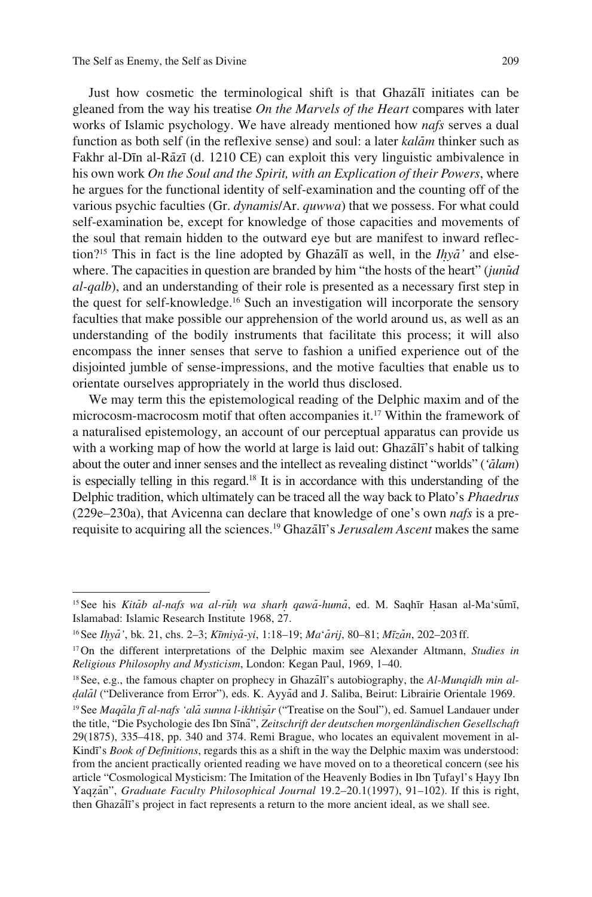Just how cosmetic the terminological shift is that Ghazali initiates can be gleaned from the way his treatise *On the Marvels of the Heart* compares with later works of Islamic psychology. We have already mentioned how *nafs* serves a dual function as both self (in the reflexive sense) and soul: a later  $k$ *alam* thinker such as Fakhr al-Dīn al-Rāzī (d. 1210 CE) can exploit this very linguistic ambivalence in his own work *On the Soul and the Spirit, with an Explication of their Powers*, where he argues for the functional identity of self-examination and the counting off of the various psychic faculties (Gr. *dynamis*/Ar. *quwwa*) that we possess. For what could self-examination be, except for knowledge of those capacities and movements of the soul that remain hidden to the outward eye but are manifest to inward reflection?<sup>15</sup> This in fact is the line adopted by Ghazal<sub>I</sub> as well, in the  $Ihy\bar{a}$ <sup>2</sup> and elsewhere. The capacities in question are branded by him "the hosts of the heart" (*junud al-qalb*), and an understanding of their role is presented as a necessary first step in the quest for self-knowledge.16 Such an investigation will incorporate the sensory faculties that make possible our apprehension of the world around us, as well as an understanding of the bodily instruments that facilitate this process; it will also encompass the inner senses that serve to fashion a unified experience out of the disjointed jumble of sense-impressions, and the motive faculties that enable us to orientate ourselves appropriately in the world thus disclosed.

We may term this the epistemological reading of the Delphic maxim and of the microcosm-macrocosm motif that often accompanies it.17 Within the framework of a naturalised epistemology, an account of our perceptual apparatus can provide us with a working map of how the world at large is laid out: Ghazali's habit of talking about the outer and inner senses and the intellect as revealing distinct "worlds" (*'alam*) is especially telling in this regard.18 It is in accordance with this understanding of the Delphic tradition, which ultimately can be traced all the way back to Plato's *Phaedrus* (229e–230a), that Avicenna can declare that knowledge of one's own *nafs* is a prerequisite to acquiring all the sciences.<sup>19</sup> Ghazalii's *Jerusalem Ascent* makes the same

<sup>&</sup>lt;sup>15</sup> See his *Kitab al-nafs wa al-ruh wa sharh qawa-huma*, ed. M. Saqhīr Hasan al-Ma'sumī, Islamabad: Islamic Research Institute 1968, 27.

<sup>16</sup> See *Ih.ya- '*, bk. 21, chs. 2–3; *Kīmiya- -yi*, 1:18–19; *Ma*'*a - rij*, 80–81; *Mīza-n*, 202–203 ff.

<sup>17</sup> On the different interpretations of the Delphic maxim see Alexander Altmann, *Studies in Religious Philosophy and Mysticism*, London: Kegan Paul, 1969, 1–40.

<sup>&</sup>lt;sup>18</sup> See, e.g., the famous chapter on prophecy in Ghazali<sup>2</sup>s autobiography, the *Al-Munqidh min al*dalal ("Deliverance from Error"), eds. K. Ayyad and J. Saliba, Beirut: Librairie Orientale 1969.

<sup>&</sup>lt;sup>19</sup> See *Maqala fī al-nafs 'ala sunna l-ikhtisar* ("Treatise on the Soul"), ed. Samuel Landauer under the title, "Die Psychologie des Ibn Sīna- ", *Zeitschrift der deutschen morgenländischen Gesellschaft* 29(1875), 335–418, pp. 340 and 374. Remi Brague, who locates an equivalent movement in al-Kindī's *Book of Definitions*, regards this as a shift in the way the Delphic maxim was understood: from the ancient practically oriented reading we have moved on to a theoretical concern (see his article "Cosmological Mysticism: The Imitation of the Heavenly Bodies in Ibn Tufayl's Hayy Ibn Yaqz.a - n", *Graduate Faculty Philosophical Journal* 19.2–20.1(1997), 91–102). If this is right, then Ghazali's project in fact represents a return to the more ancient ideal, as we shall see.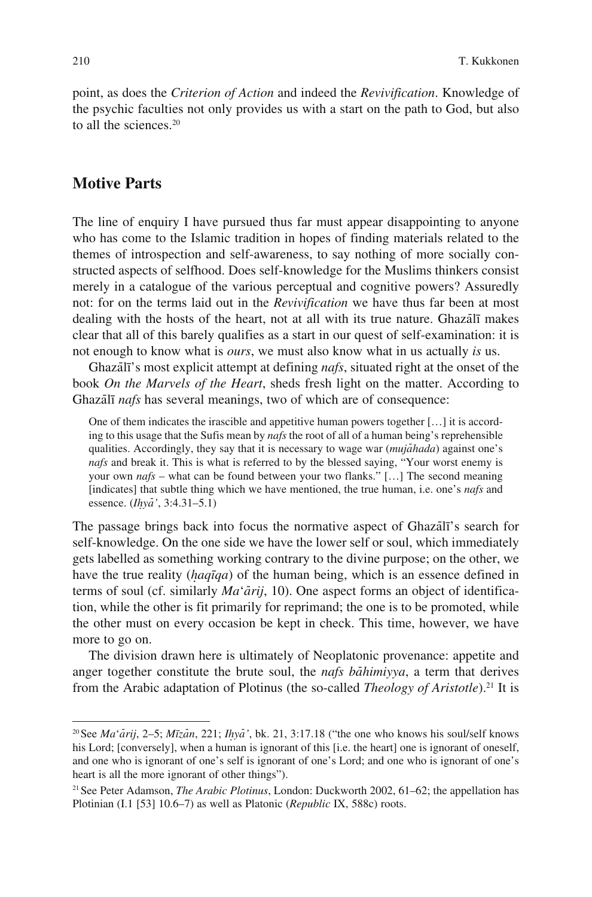point, as does the *Criterion of Action* and indeed the *Revivification*. Knowledge of the psychic faculties not only provides us with a start on the path to God, but also to all the sciences.20

## **Motive Parts**

The line of enquiry I have pursued thus far must appear disappointing to anyone who has come to the Islamic tradition in hopes of finding materials related to the themes of introspection and self-awareness, to say nothing of more socially constructed aspects of selfhood. Does self-knowledge for the Muslims thinkers consist merely in a catalogue of the various perceptual and cognitive powers? Assuredly not: for on the terms laid out in the *Revivification* we have thus far been at most dealing with the hosts of the heart, not at all with its true nature. Ghazali makes clear that all of this barely qualifies as a start in our quest of self-examination: it is not enough to know what is *ours*, we must also know what in us actually *is* us.

Ghazali<sup>2</sup>'s most explicit attempt at defining *nafs*, situated right at the onset of the book *On the Marvels of the Heart*, sheds fresh light on the matter. According to Ghazalī *nafs* has several meanings, two of which are of consequence:

One of them indicates the irascible and appetitive human powers together […] it is according to this usage that the Sufis mean by *nafs* the root of all of a human being's reprehensible qualities. Accordingly, they say that it is necessary to wage war (*muja-hada*) against one's *nafs* and break it. This is what is referred to by the blessed saying, "Your worst enemy is your own *nafs* – what can be found between your two flanks." […] The second meaning [indicates] that subtle thing which we have mentioned, the true human, i.e. one's *nafs* and essence. (*Ih*.*ya- '*, 3:4.31–5.1)

The passage brings back into focus the normative aspect of Ghazali's search for self-knowledge. On the one side we have the lower self or soul, which immediately gets labelled as something working contrary to the divine purpose; on the other, we have the true reality (*h*.*aqīqa*) of the human being, which is an essence defined in terms of soul (cf. similarly  $Ma'$ *arij*, 10). One aspect forms an object of identification, while the other is fit primarily for reprimand; the one is to be promoted, while the other must on every occasion be kept in check. This time, however, we have more to go on.

The division drawn here is ultimately of Neoplatonic provenance: appetite and anger together constitute the brute soul, the *nafs bahimiyya*, a term that derives from the Arabic adaptation of Plotinus (the so-called *Theology of Aristotle*).<sup>21</sup> It is

<sup>20</sup> See *Ma*'*a - rij*, 2–5; *Mīza-<sup>n</sup>*, 221; *Ih.ya- '*, bk. 21, 3:17.18 ("the one who knows his soul/self knows his Lord; [conversely], when a human is ignorant of this [i.e. the heart] one is ignorant of oneself, and one who is ignorant of one's self is ignorant of one's Lord; and one who is ignorant of one's heart is all the more ignorant of other things").

<sup>21</sup> See Peter Adamson, *The Arabic Plotinus*, London: Duckworth 2002, 61–62; the appellation has Plotinian (I.1 [53] 10.6–7) as well as Platonic (*Republic* IX, 588c) roots.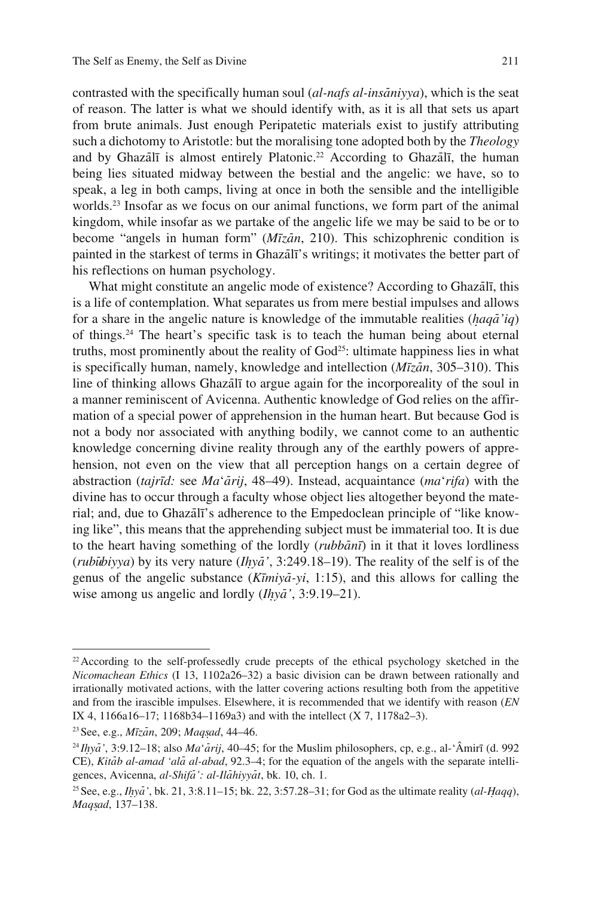contrasted with the specifically human soul (*al-nafs al-insāniyya*), which is the seat of reason. The latter is what we should identify with, as it is all that sets us apart from brute animals. Just enough Peripatetic materials exist to justify attributing such a dichotomy to Aristotle: but the moralising tone adopted both by the *Theology* and by Ghazali is almost entirely Platonic.<sup>22</sup> According to Ghazali, the human being lies situated midway between the bestial and the angelic: we have, so to speak, a leg in both camps, living at once in both the sensible and the intelligible worlds.<sup>23</sup> Insofar as we focus on our animal functions, we form part of the animal kingdom, while insofar as we partake of the angelic life we may be said to be or to become "angels in human form" (*Mīzān*, 210). This schizophrenic condition is painted in the starkest of terms in Ghazali's writings; it motivates the better part of his reflections on human psychology.

What might constitute an angelic mode of existence? According to Ghazali, this is a life of contemplation. What separates us from mere bestial impulses and allows for a share in the angelic nature is knowledge of the immutable realities (*h*.*aqa- 'iq*) of things.24 The heart's specific task is to teach the human being about eternal truths, most prominently about the reality of God<sup>25</sup>: ultimate happiness lies in what is specifically human, namely, knowledge and intellection  $(Mizan, 305-310)$ . This line of thinking allows Ghazali to argue again for the incorporeality of the soul in a manner reminiscent of Avicenna. Authentic knowledge of God relies on the affirmation of a special power of apprehension in the human heart. But because God is not a body nor associated with anything bodily, we cannot come to an authentic knowledge concerning divine reality through any of the earthly powers of apprehension, not even on the view that all perception hangs on a certain degree of abstraction (*tajrīd:* see *Ma*'*a - rij*, 48–49). Instead, acquaintance (*ma*'*rifa*) with the divine has to occur through a faculty whose object lies altogether beyond the material; and, due to Ghazālī's adherence to the Empedoclean principle of "like knowing like", this means that the apprehending subject must be immaterial too. It is due to the heart having something of the lordly (*rubba-nī*) in it that it loves lordliness  $(rubibyya)$  by its very nature  $(Ily\bar{a}', 3:249.18-19)$ . The reality of the self is of the genus of the angelic substance (*Kīmiya- -yi*, 1:15), and this allows for calling the wise among us angelic and lordly (*Ihya'*, 3:9.19–21).

<sup>&</sup>lt;sup>22</sup> According to the self-professedly crude precepts of the ethical psychology sketched in the *Nicomachean Ethics* (I 13, 1102a26–32) a basic division can be drawn between rationally and irrationally motivated actions, with the latter covering actions resulting both from the appetitive and from the irascible impulses. Elsewhere, it is recommended that we identify with reason (*EN* IX 4, 1166a16–17; 1168b34–1169a3) and with the intellect (X 7, 1178a2–3).

<sup>23</sup> See, e.g., *Mīza-n*, 209; *Maqs*.*ad*, 44–46.

<sup>&</sup>lt;sup>24</sup> *Ihya'*, 3:9.12–18; also *Ma'arij*, 40–45; for the Muslim philosophers, cp, e.g., al-'Âmirī (d. 992) CE), *Kita-b al-amad 'ala- al-abad*, 92.3–4; for the equation of the angels with the separate intelligences, Avicenna, *al-Shifa- ': al-Ila-hiyya-t*, bk. 10, ch. 1.

<sup>25</sup> See, e.g., *Ih.ya- '*, bk. 21, 3:8.11–15; bk. 22, 3:57.28–31; for God as the ultimate reality (*al-H. aqq*), *Maqs*.*ad*, 137–138.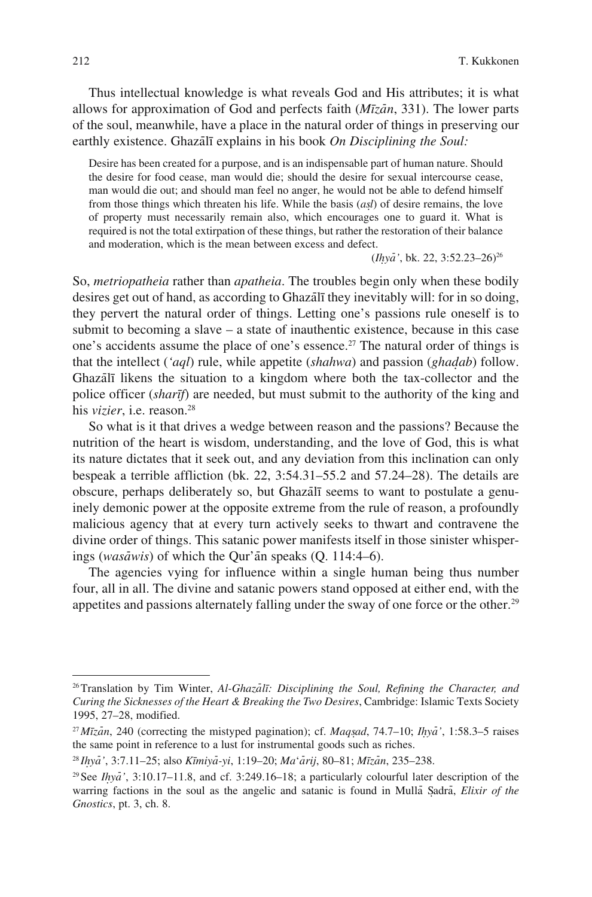Thus intellectual knowledge is what reveals God and His attributes; it is what allows for approximation of God and perfects faith (*Mīzān*, 331). The lower parts of the soul, meanwhile, have a place in the natural order of things in preserving our earthly existence. Ghazali explains in his book *On Disciplining the Soul:* 

Desire has been created for a purpose, and is an indispensable part of human nature. Should the desire for food cease, man would die; should the desire for sexual intercourse cease, man would die out; and should man feel no anger, he would not be able to defend himself from those things which threaten his life. While the basis (asl) of desire remains, the love of property must necessarily remain also, which encourages one to guard it. What is required is not the total extirpation of these things, but rather the restoration of their balance and moderation, which is the mean between excess and defect.

(*Ih*.*ya- '*, bk. 22, 3:52.23–26)26

So, *metriopatheia* rather than *apatheia*. The troubles begin only when these bodily desires get out of hand, as according to Ghazali they inevitably will: for in so doing, they pervert the natural order of things. Letting one's passions rule oneself is to submit to becoming a slave – a state of inauthentic existence, because in this case one's accidents assume the place of one's essence.<sup>27</sup> The natural order of things is that the intellect (*'aql*) rule, while appetite (*shahwa*) and passion (*ghadab*) follow. Ghazali likens the situation to a kingdom where both the tax-collector and the police officer (*sharīf*) are needed, but must submit to the authority of the king and his *vizier*, i.e. reason.<sup>28</sup>

So what is it that drives a wedge between reason and the passions? Because the nutrition of the heart is wisdom, understanding, and the love of God, this is what its nature dictates that it seek out, and any deviation from this inclination can only bespeak a terrible affliction (bk. 22, 3:54.31–55.2 and 57.24–28). The details are obscure, perhaps deliberately so, but Ghazali seems to want to postulate a genuinely demonic power at the opposite extreme from the rule of reason, a profoundly malicious agency that at every turn actively seeks to thwart and contravene the divine order of things. This satanic power manifests itself in those sinister whisperings (*wasāwis*) of which the Qur'an speaks (Q. 114:4–6).

The agencies vying for influence within a single human being thus number four, all in all. The divine and satanic powers stand opposed at either end, with the appetites and passions alternately falling under the sway of one force or the other.<sup>29</sup>

<sup>&</sup>lt;sup>26</sup> Translation by Tim Winter, *Al-Ghazalī: Disciplining the Soul, Refining the Character, and Curing the Sicknesses of the Heart & Breaking the Two Desires*, Cambridge: Islamic Texts Society 1995, 27–28, modified.

<sup>&</sup>lt;sup>27</sup> Mīzān, 240 (correcting the mistyped pagination); cf. *Maqsad*, 74.7–10; *Ihya<sup>2</sup>*, 1:58.3–5 raises the same point in reference to a lust for instrumental goods such as riches.

<sup>28</sup> *Ih.ya- '*, 3:7.11–25; also *Kīmiya- -yi*, 1:19–20; *Ma*'*a - rij*, 80–81; *Mīza-n*, 235–238.

<sup>&</sup>lt;sup>29</sup> See *Ihya'*, 3:10.17–11.8, and cf. 3:249.16–18; a particularly colourful later description of the warring factions in the soul as the angelic and satanic is found in Mulla-Sadra, *Elixir of the* warring *Gnostics*, pt. 3, ch. 8.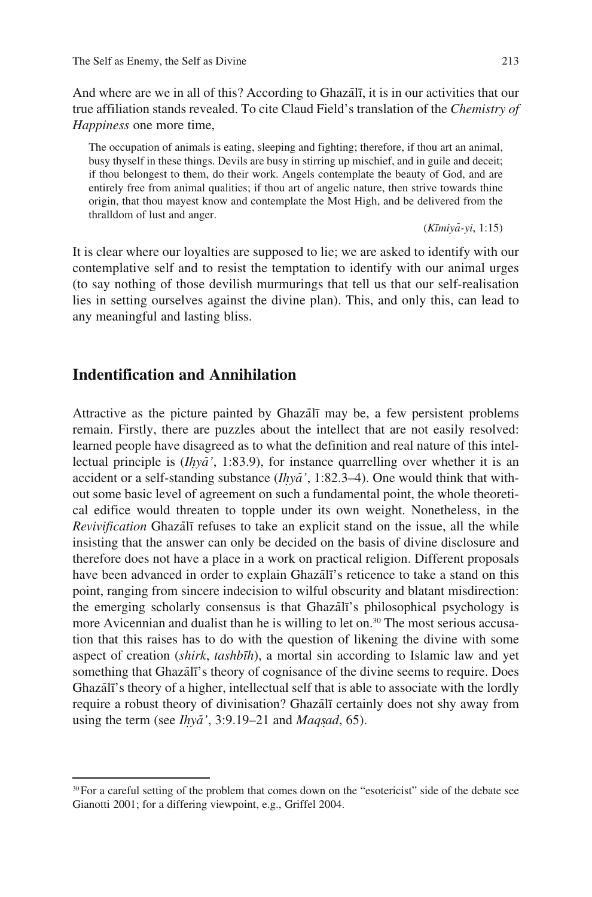And where are we in all of this? According to Ghazali, it is in our activities that our true affiliation stands revealed. To cite Claud Field's translation of the *Chemistry of Happiness* one more time,

The occupation of animals is eating, sleeping and fighting; therefore, if thou art an animal, busy thyself in these things. Devils are busy in stirring up mischief, and in guile and deceit; if thou belongest to them, do their work. Angels contemplate the beauty of God, and are entirely free from animal qualities; if thou art of angelic nature, then strive towards thine origin, that thou mayest know and contemplate the Most High, and be delivered from the thralldom of lust and anger.

(*Kīmiya- -yi*, 1:15)

It is clear where our loyalties are supposed to lie; we are asked to identify with our contemplative self and to resist the temptation to identify with our animal urges (to say nothing of those devilish murmurings that tell us that our self-realisation lies in setting ourselves against the divine plan). This, and only this, can lead to any meaningful and lasting bliss.

# **Indentification and Annihilation**

Attractive as the picture painted by Ghazali may be, a few persistent problems remain. Firstly, there are puzzles about the intellect that are not easily resolved: learned people have disagreed as to what the definition and real nature of this intellectual principle is  $(Ihya^7, 1:83.9)$ , for instance quarrelling over whether it is an accident or a self-standing substance  $(Ihy\bar{a}$ <sup>'</sup>, 1:82.3–4). One would think that without some basic level of agreement on such a fundamental point, the whole theoretical edifice would threaten to topple under its own weight. Nonetheless, in the *Revivification* Ghazali refuses to take an explicit stand on the issue, all the while insisting that the answer can only be decided on the basis of divine disclosure and therefore does not have a place in a work on practical religion. Different proposals have been advanced in order to explain Ghazali's reticence to take a stand on this point, ranging from sincere indecision to wilful obscurity and blatant misdirection: the emerging scholarly consensus is that Ghazali's philosophical psychology is more Avicennian and dualist than he is willing to let on.<sup>30</sup> The most serious accusation that this raises has to do with the question of likening the divine with some aspect of creation (*shirk*, *tashbīh*), a mortal sin according to Islamic law and yet something that Ghazali's theory of cognisance of the divine seems to require. Does Ghazali's theory of a higher, intellectual self that is able to associate with the lordly require a robust theory of divinisation? Ghazali certainly does not shy away from using the term (see *Ihya<sup>'</sup>*, 3:9.19–21 and *Maqsad*, 65).

<sup>&</sup>lt;sup>30</sup> For a careful setting of the problem that comes down on the "esotericist" side of the debate see Gianotti 2001; for a differing viewpoint, e.g., Griffel 2004.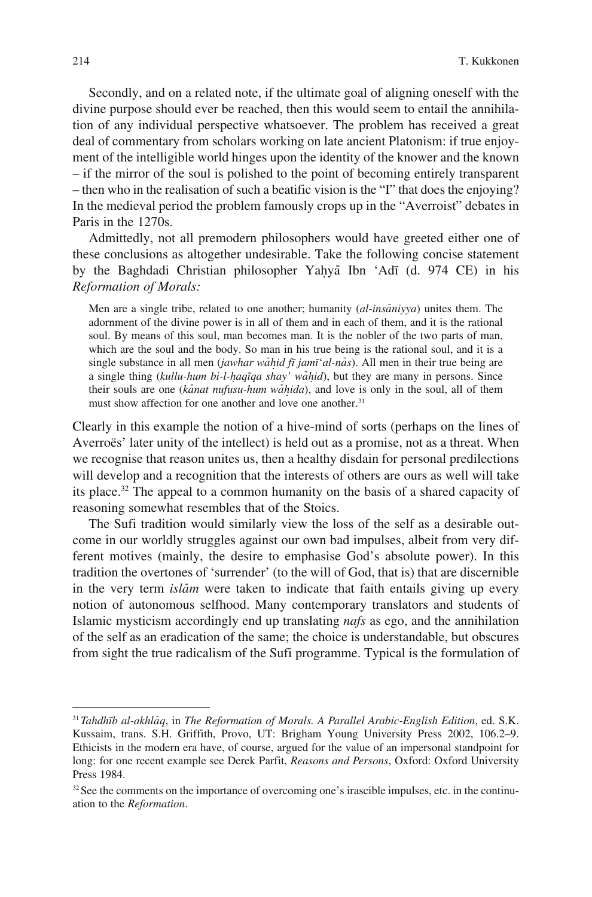Secondly, and on a related note, if the ultimate goal of aligning oneself with the divine purpose should ever be reached, then this would seem to entail the annihilation of any individual perspective whatsoever. The problem has received a great deal of commentary from scholars working on late ancient Platonism: if true enjoyment of the intelligible world hinges upon the identity of the knower and the known – if the mirror of the soul is polished to the point of becoming entirely transparent – then who in the realisation of such a beatific vision is the "I" that does the enjoying? In the medieval period the problem famously crops up in the "Averroist" debates in Paris in the 1270s.

Admittedly, not all premodern philosophers would have greeted either one of these conclusions as altogether undesirable. Take the following concise statement by the Baghdadi Christian philosopher Yaḥyā Ibn 'Adī (d. 974 CE) in his *Reformation of Morals:*

Men are a single tribe, related to one another; humanity (*al-insaniyya*) unites them. The adornment of the divine power is in all of them and in each of them, and it is the rational soul. By means of this soul, man becomes man. It is the nobler of the two parts of man, which are the soul and the body. So man in his true being is the rational soul, and it is a single substance in all men (*jawhar wa-<sup>h</sup>*.*id fī jamī*'*al-na-s*). All men in their true being are a single thing (*kullu-hum bi-l-h*.*aqīqa shay' wa-h*.*id*), but they are many in persons. Since <sup>*n*</sup> their souls are one (*kanat nufusu-hum wahida*), and love is only in the soul, all of them must show affection for one another and love one another.<sup>31</sup>

Clearly in this example the notion of a hive-mind of sorts (perhaps on the lines of Averroës' later unity of the intellect) is held out as a promise, not as a threat. When we recognise that reason unites us, then a healthy disdain for personal predilections will develop and a recognition that the interests of others are ours as well will take its place.32 The appeal to a common humanity on the basis of a shared capacity of reasoning somewhat resembles that of the Stoics.

The Sufi tradition would similarly view the loss of the self as a desirable outcome in our worldly struggles against our own bad impulses, albeit from very different motives (mainly, the desire to emphasise God's absolute power). In this tradition the overtones of 'surrender' (to the will of God, that is) that are discernible in the very term *islam* were taken to indicate that faith entails giving up every notion of autonomous selfhood. Many contemporary translators and students of Islamic mysticism accordingly end up translating *nafs* as ego, and the annihilation of the self as an eradication of the same; the choice is understandable, but obscures from sight the true radicalism of the Sufi programme. Typical is the formulation of

<sup>&</sup>lt;sup>31</sup> Tahdhīb al-akhlāq, in The Reformation of Morals. A Parallel Arabic-English Edition, ed. S.K. Kussaim, trans. S.H. Griffith, Provo, UT: Brigham Young University Press 2002, 106.2–9. Ethicists in the modern era have, of course, argued for the value of an impersonal standpoint for long: for one recent example see Derek Parfit, *Reasons and Persons*, Oxford: Oxford University Press 1984.

<sup>&</sup>lt;sup>32</sup> See the comments on the importance of overcoming one's irascible impulses, etc. in the continuation to the *Reformation*.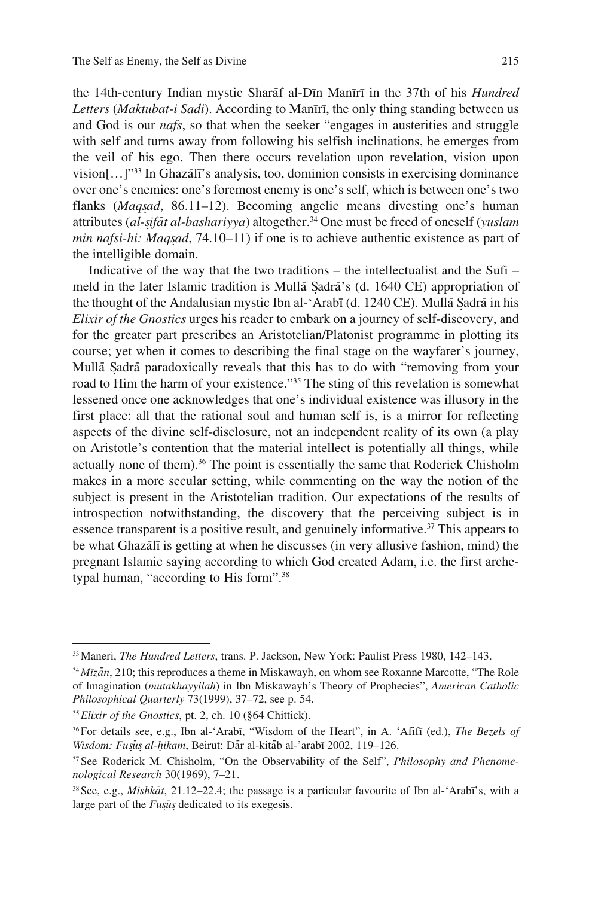the 14th-century Indian mystic Sharaf al-Dīn Manīrī in the 37th of his *Hundred Letters* (*Maktubat-i Sadi*). According to Manīrī, the only thing standing between us and God is our *nafs*, so that when the seeker "engages in austerities and struggle with self and turns away from following his selfish inclinations, he emerges from the veil of his ego. Then there occurs revelation upon revelation, vision upon vision[...]"<sup>33</sup> In Ghazālī's analysis, too, dominion consists in exercising dominance over one's enemies: one's foremost enemy is one's self, which is between one's two flanks (*Maqs*.*ad*, 86.11–12). Becoming angelic means divesting one's human attributes (al-sifat al-bashariyya) altogether.<sup>34</sup> One must be freed of oneself (*yuslam min nafsi-hi: Magsad*, 74.10–11) if one is to achieve authentic existence as part of the intelligible domain.

Indicative of the way that the two traditions – the intellectualist and the Sufi – meld in the later Islamic tradition is Mulla Sadra's (d. 1640 CE) appropriation of the thought of the Andalusian mystic Ibn al-'Arabī (d. 1240 CE). Mullā Sadrā in his *Elixir of the Gnostics* urges his reader to embark on a journey of self-discovery, and for the greater part prescribes an Aristotelian/Platonist programme in plotting its course; yet when it comes to describing the final stage on the wayfarer's journey, Mulla Sadra paradoxically reveals that this has to do with "removing from your road to Him the harm of your existence."35 The sting of this revelation is somewhat lessened once one acknowledges that one's individual existence was illusory in the first place: all that the rational soul and human self is, is a mirror for reflecting aspects of the divine self-disclosure, not an independent reality of its own (a play on Aristotle's contention that the material intellect is potentially all things, while actually none of them).<sup>36</sup> The point is essentially the same that Roderick Chisholm makes in a more secular setting, while commenting on the way the notion of the subject is present in the Aristotelian tradition. Our expectations of the results of introspection notwithstanding, the discovery that the perceiving subject is in essence transparent is a positive result, and genuinely informative.<sup>37</sup> This appears to be what Ghazalī is getting at when he discusses (in very allusive fashion, mind) the pregnant Islamic saying according to which God created Adam, i.e. the first archetypal human, "according to His form".38

<sup>33</sup> Maneri, *The Hundred Letters*, trans. P. Jackson, New York: Paulist Press 1980, 142–143.

<sup>&</sup>lt;sup>34</sup> *Mīzān*, 210; this reproduces a theme in Miskawayh, on whom see Roxanne Marcotte, "The Role of Imagination (*mutakhayyilah*) in Ibn Miskawayh's Theory of Prophecies", *American Catholic Philosophical Quarterly* 73(1999), 37–72, see p. 54.

<sup>35</sup>*Elixir of the Gnostics*, pt. 2, ch. 10 (§64 Chittick).

<sup>36</sup> For details see, e.g., Ibn al-'Arabī, "Wisdom of the Heart", in A. 'Afifī (ed.), *The Bezels of Wisdom: Fusias 300, 0.8, ten di Thalen, Misdom et die Treate , m. 11.*<br>*Wisdom: Fusias al-hikam, Beirut: Dar al-kitab al-'arabī 2002, 119–126.* 

<sup>37</sup> See Roderick M. Chisholm, "On the Observability of the Self", *Philosophy and Phenomenological Research* 30(1969), 7–21.

<sup>&</sup>lt;sup>38</sup> See, e.g., *Mishkāt*, 21.12–22.4; the passage is a particular favourite of Ibn al-'Arabī's, with a large part of the *Fus*<sup>*u*</sup><sub>*s*</sub> dedicated to its exegesis.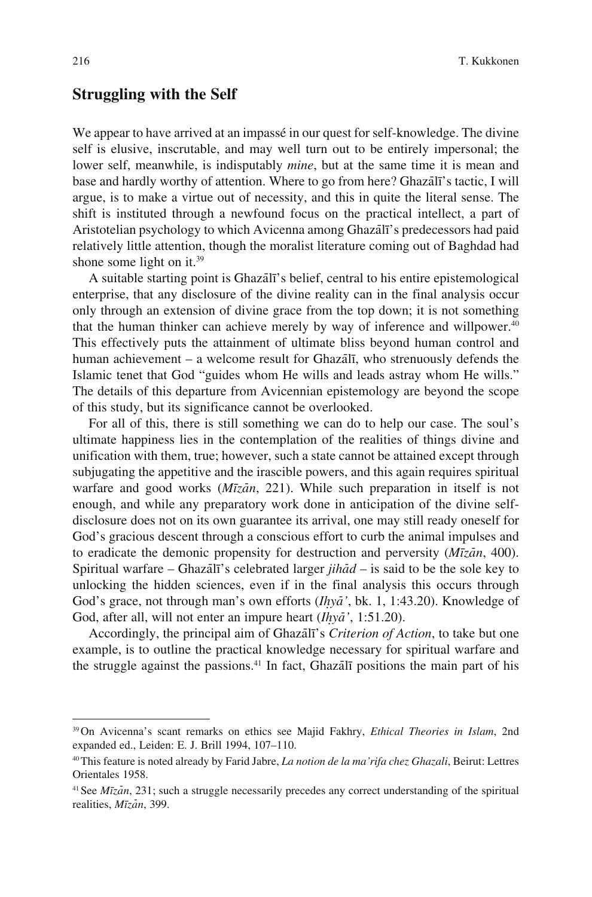#### **Struggling with the Self**

We appear to have arrived at an impassé in our quest for self-knowledge. The divine self is elusive, inscrutable, and may well turn out to be entirely impersonal; the lower self, meanwhile, is indisputably *mine*, but at the same time it is mean and base and hardly worthy of attention. Where to go from here? Ghazali's tactic, I will argue, is to make a virtue out of necessity, and this in quite the literal sense. The shift is instituted through a newfound focus on the practical intellect, a part of Aristotelian psychology to which Avicenna among Ghazālī's predecessors had paid relatively little attention, though the moralist literature coming out of Baghdad had shone some light on it.39

A suitable starting point is Ghazālī's belief, central to his entire epistemological enterprise, that any disclosure of the divine reality can in the final analysis occur only through an extension of divine grace from the top down; it is not something that the human thinker can achieve merely by way of inference and willpower.<sup>40</sup> This effectively puts the attainment of ultimate bliss beyond human control and human achievement – a welcome result for Ghazali, who strenuously defends the Islamic tenet that God "guides whom He wills and leads astray whom He wills." The details of this departure from Avicennian epistemology are beyond the scope of this study, but its significance cannot be overlooked.

For all of this, there is still something we can do to help our case. The soul's ultimate happiness lies in the contemplation of the realities of things divine and unification with them, true; however, such a state cannot be attained except through subjugating the appetitive and the irascible powers, and this again requires spiritual warfare and good works  $(M\bar{z}a\bar{n}, 221)$ . While such preparation in itself is not enough, and while any preparatory work done in anticipation of the divine selfdisclosure does not on its own guarantee its arrival, one may still ready oneself for God's gracious descent through a conscious effort to curb the animal impulses and to eradicate the demonic propensity for destruction and perversity  $(M\bar{z}a_n, 400)$ . Spiritual warfare – Ghazali's celebrated larger *jihad* – is said to be the sole key to unlocking the hidden sciences, even if in the final analysis this occurs through God's grace, not through man's own efforts (*Ihya*', bk. 1, 1:43.20). Knowledge of God, after all, will not enter an impure heart (*Ihya<sup>'</sup>*, 1:51.20).

Accordingly, the principal aim of Ghazali's *Criterion of Action*, to take but one example, is to outline the practical knowledge necessary for spiritual warfare and the struggle against the passions.<sup>41</sup> In fact, Ghazal<sub>I</sub> positions the main part of his

<sup>39</sup> On Avicenna's scant remarks on ethics see Majid Fakhry, *Ethical Theories in Islam*, 2nd expanded ed., Leiden: E. J. Brill 1994, 107–110.

<sup>40</sup> This feature is noted already by Farid Jabre, *La notion de la ma'rifa chez Ghazali*, Beirut: Lettres Orientales 1958.

<sup>&</sup>lt;sup>41</sup> See *Mīzān*, 231; such a struggle necessarily precedes any correct understanding of the spiritual realities, *Mīzān*, 399.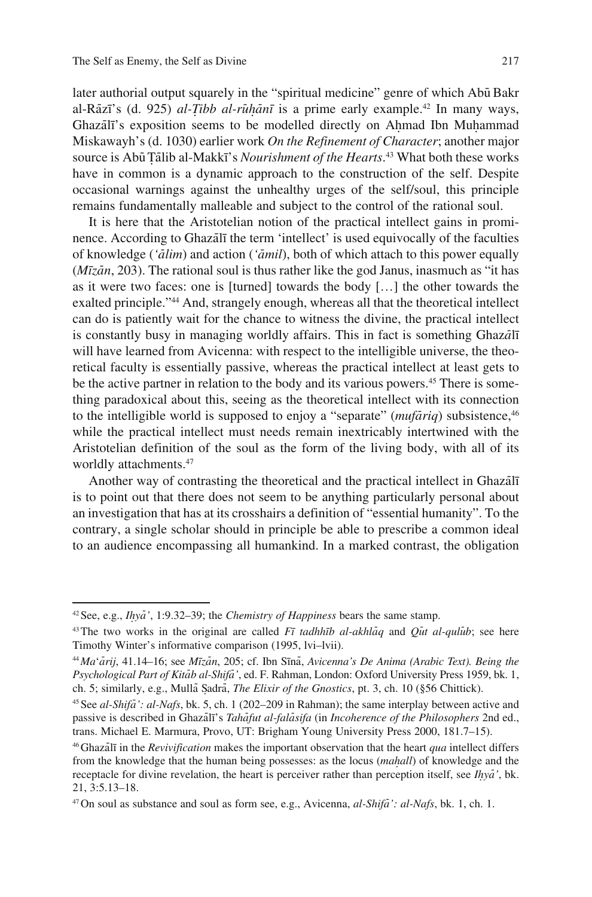later authorial output squarely in the "spiritual medicine" genre of which Abū Bakr al-Rāzī's (d. 925) *al-Tibb al-rūḥānī* is a prime early example.<sup>42</sup> In many ways, Ghazalī's exposition seems to be modelled directly on Ahmad Ibn Muhammad Miskawayh's (d. 1030) earlier work *On the Refinement of Character*; another major source is Abu<sup>Talib</sup> al-Makkī's *Nourishment of the Hearts*.<sup>43</sup> What both these works have in common is a dynamic approach to the construction of the self. Despite occasional warnings against the unhealthy urges of the self/soul, this principle remains fundamentally malleable and subject to the control of the rational soul.

It is here that the Aristotelian notion of the practical intellect gains in prominence. According to Ghazali the term 'intellect' is used equivocally of the faculties of knowledge (*'alim*) and action (*'amil*), both of which attach to this power equally  $(Mizan, 203)$ . The rational soul is thus rather like the god Janus, inasmuch as "it has as it were two faces: one is [turned] towards the body […] the other towards the exalted principle."<sup>44</sup> And, strangely enough, whereas all that the theoretical intellect can do is patiently wait for the chance to witness the divine, the practical intellect is constantly busy in managing worldly affairs. This in fact is something Ghaz*a -* lī will have learned from Avicenna: with respect to the intelligible universe, the theoretical faculty is essentially passive, whereas the practical intellect at least gets to be the active partner in relation to the body and its various powers.<sup>45</sup> There is something paradoxical about this, seeing as the theoretical intellect with its connection to the intelligible world is supposed to enjoy a "separate" (*mufariq*) subsistence,<sup>46</sup> while the practical intellect must needs remain inextricably intertwined with the Aristotelian definition of the soul as the form of the living body, with all of its worldly attachments.<sup>47</sup>

Another way of contrasting the theoretical and the practical intellect in Ghazali is to point out that there does not seem to be anything particularly personal about an investigation that has at its crosshairs a definition of "essential humanity". To the contrary, a single scholar should in principle be able to prescribe a common ideal to an audience encompassing all humankind. In a marked contrast, the obligation

<sup>&</sup>lt;sup>42</sup> See, e.g., *Ihya'*, 1:9.32–39; the *Chemistry of Happiness* bears the same stamp.

<sup>&</sup>lt;sup>43</sup> The two works in the original are called  $F\bar{\iota}$  *tadhh* $\bar{\iota}$ *b al-akhlaq* and *Qut al-qulub*; see here Timothy Winter's informative comparison (1995, lvi–lvii).

<sup>&</sup>lt;sup>44</sup> Ma'arij, 41.14–16; see Mīzan, 205; cf. Ibn Sīna, Avicenna's De Anima (Arabic Text). Being the *Psychological Part of Kitab al-Shifa'*, ed. F. Rahman, London: Oxford University Press 1959, bk. 1, *Psychological Part of Kitab al-Shifa'*, ed. F. Rahman, London: Oxford University Press 1959, bk. 1, ch. 5; similarly, e.g., Mulla- S.adra- , *The Elixir of the Gnostics*, pt. 3, ch. 10 (§56 Chittick).

<sup>&</sup>lt;sup>45</sup> See *al-Shifa': al-Nafs*, bk. 5, ch. 1 (202–209 in Rahman); the same interplay between active and passive is described in Ghazali's *Tahafut al-falasifa* (in *Incoherence of the Philosophers* 2nd ed., trans. Michael E. Marmura, Provo, UT: Brigham Young University Press 2000, 181.7–15).

<sup>&</sup>lt;sup>46</sup> Ghazalī in the *Revivification* makes the important observation that the heart *qua* intellect differs from the knowledge that the human being possesses: as the locus (*mahall*) of knowledge and the receptacle for divine revelation, the heart is perceiver rather than perception itself, see *Ih.ya- '*, bk. 21, 3:5.13–18.

<sup>47</sup> On soul as substance and soul as form see, e.g., Avicenna, *al-Shifa- ': al-Nafs*, bk. 1, ch. 1.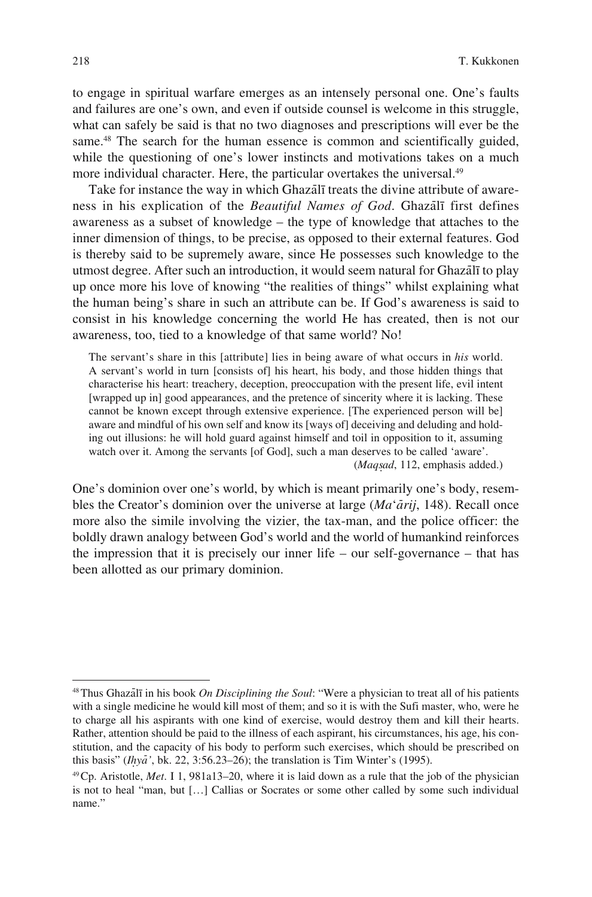to engage in spiritual warfare emerges as an intensely personal one. One's faults and failures are one's own, and even if outside counsel is welcome in this struggle, what can safely be said is that no two diagnoses and prescriptions will ever be the same.<sup>48</sup> The search for the human essence is common and scientifically guided, while the questioning of one's lower instincts and motivations takes on a much more individual character. Here, the particular overtakes the universal.<sup>49</sup>

Take for instance the way in which Ghazali treats the divine attribute of awareness in his explication of the *Beautiful Names of God*. Ghazali first defines awareness as a subset of knowledge – the type of knowledge that attaches to the inner dimension of things, to be precise, as opposed to their external features. God is thereby said to be supremely aware, since He possesses such knowledge to the utmost degree. After such an introduction, it would seem natural for Ghazali to play up once more his love of knowing "the realities of things" whilst explaining what the human being's share in such an attribute can be. If God's awareness is said to consist in his knowledge concerning the world He has created, then is not our awareness, too, tied to a knowledge of that same world? No!

The servant's share in this [attribute] lies in being aware of what occurs in *his* world. A servant's world in turn [consists of] his heart, his body, and those hidden things that characterise his heart: treachery, deception, preoccupation with the present life, evil intent [wrapped up in] good appearances, and the pretence of sincerity where it is lacking. These cannot be known except through extensive experience. [The experienced person will be] aware and mindful of his own self and know its [ways of] deceiving and deluding and holding out illusions: he will hold guard against himself and toil in opposition to it, assuming watch over it. Among the servants [of God], such a man deserves to be called 'aware'.

(*Maqs*.*ad*, 112, emphasis added.)

One's dominion over one's world, by which is meant primarily one's body, resembles the Creator's dominion over the universe at large (*Ma*<sup>*'arij*, 148). Recall once</sup> more also the simile involving the vizier, the tax-man, and the police officer: the boldly drawn analogy between God's world and the world of humankind reinforces the impression that it is precisely our inner life – our self-governance – that has been allotted as our primary dominion.

<sup>&</sup>lt;sup>48</sup> Thus Ghazalī in his book *On Disciplining the Soul*: "Were a physician to treat all of his patients with a single medicine he would kill most of them; and so it is with the Sufi master, who, were he to charge all his aspirants with one kind of exercise, would destroy them and kill their hearts. Rather, attention should be paid to the illness of each aspirant, his circumstances, his age, his constitution, and the capacity of his body to perform such exercises, which should be prescribed on this basis" (*Ih.ya- '*, bk. 22, 3:56.23–26); the translation is Tim Winter's (1995).

<sup>49</sup> Cp. Aristotle, *Met*. I 1, 981a13–20, where it is laid down as a rule that the job of the physician is not to heal "man, but […] Callias or Socrates or some other called by some such individual name."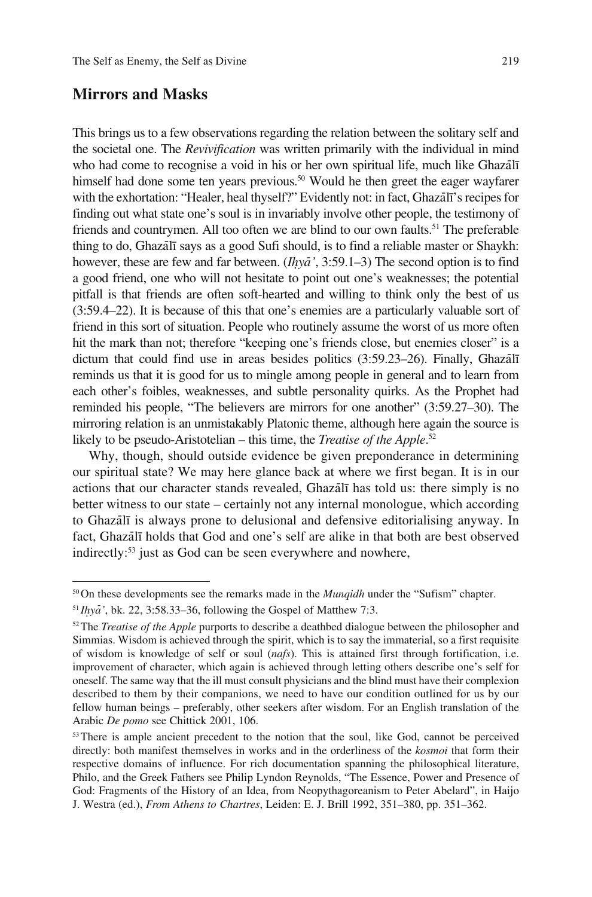## **Mirrors and Masks**

This brings us to a few observations regarding the relation between the solitary self and the societal one. The *Revivification* was written primarily with the individual in mind who had come to recognise a void in his or her own spiritual life, much like Ghazali himself had done some ten years previous.<sup>50</sup> Would he then greet the eager wayfarer with the exhortation: "Healer, heal thyself?" Evidently not: in fact, Ghazālī's recipes for finding out what state one's soul is in invariably involve other people, the testimony of friends and countrymen. All too often we are blind to our own faults.<sup>51</sup> The preferable thing to do, Ghazali says as a good Sufi should, is to find a reliable master or Shaykh: however, these are few and far between. (*Ihya<sup>'</sup>*, 3:59.1–3) The second option is to find a good friend, one who will not hesitate to point out one's weaknesses; the potential pitfall is that friends are often soft-hearted and willing to think only the best of us (3:59.4–22). It is because of this that one's enemies are a particularly valuable sort of friend in this sort of situation. People who routinely assume the worst of us more often hit the mark than not; therefore "keeping one's friends close, but enemies closer" is a dictum that could find use in areas besides politics  $(3:59.23-26)$ . Finally, Ghazali reminds us that it is good for us to mingle among people in general and to learn from each other's foibles, weaknesses, and subtle personality quirks. As the Prophet had reminded his people, "The believers are mirrors for one another" (3:59.27–30). The mirroring relation is an unmistakably Platonic theme, although here again the source is likely to be pseudo-Aristotelian – this time, the *Treatise of the Apple*. 52

Why, though, should outside evidence be given preponderance in determining our spiritual state? We may here glance back at where we first began. It is in our actions that our character stands revealed, Ghazali has told us: there simply is no better witness to our state – certainly not any internal monologue, which according to Ghazali is always prone to delusional and defensive editorialising anyway. In fact, Ghazali holds that God and one's self are alike in that both are best observed indirectly:<sup>53</sup> just as God can be seen everywhere and nowhere,

<sup>&</sup>lt;sup>50</sup> On these developments see the remarks made in the *Mungidh* under the "Sufism" chapter.

<sup>51</sup> *Ih.ya- '*, bk. 22, 3:58.33–36, following the Gospel of Matthew 7:3.

<sup>52</sup> The *Treatise of the Apple* purports to describe a deathbed dialogue between the philosopher and Simmias. Wisdom is achieved through the spirit, which is to say the immaterial, so a first requisite of wisdom is knowledge of self or soul (*nafs*). This is attained first through fortification, i.e. improvement of character, which again is achieved through letting others describe one's self for oneself. The same way that the ill must consult physicians and the blind must have their complexion described to them by their companions, we need to have our condition outlined for us by our fellow human beings – preferably, other seekers after wisdom. For an English translation of the Arabic *De pomo* see Chittick 2001, 106.

<sup>&</sup>lt;sup>53</sup> There is ample ancient precedent to the notion that the soul, like God, cannot be perceived directly: both manifest themselves in works and in the orderliness of the *kosmoi* that form their respective domains of influence. For rich documentation spanning the philosophical literature, Philo, and the Greek Fathers see Philip Lyndon Reynolds, "The Essence, Power and Presence of God: Fragments of the History of an Idea, from Neopythagoreanism to Peter Abelard", in Haijo J. Westra (ed.), *From Athens to Chartres*, Leiden: E. J. Brill 1992, 351–380, pp. 351–362.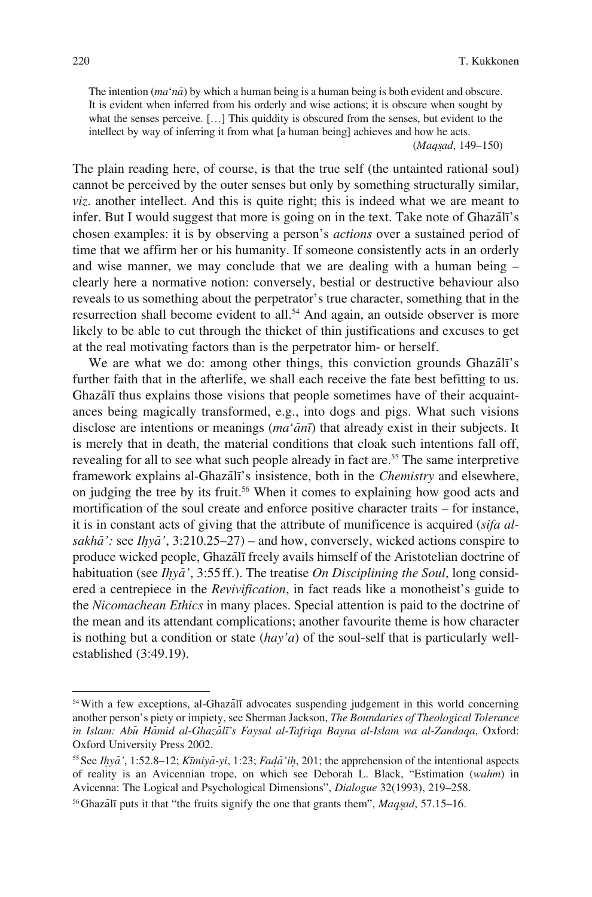The intention  $(ma<sup>i</sup>n\bar{a})$  by which a human being is a human being is both evident and obscure. It is evident when inferred from his orderly and wise actions; it is obscure when sought by what the senses perceive. [...] This quiddity is obscured from the senses, but evident to the intellect by way of inferring it from what [a human being] achieves and how he acts.

(*Maqs*.*ad*, 149–150)

The plain reading here, of course, is that the true self (the untainted rational soul) cannot be perceived by the outer senses but only by something structurally similar, *viz.* another intellect. And this is quite right; this is indeed what we are meant to infer. But I would suggest that more is going on in the text. Take note of Ghazālī's chosen examples: it is by observing a person's *actions* over a sustained period of time that we affirm her or his humanity. If someone consistently acts in an orderly and wise manner, we may conclude that we are dealing with a human being – clearly here a normative notion: conversely, bestial or destructive behaviour also reveals to us something about the perpetrator's true character, something that in the resurrection shall become evident to all.<sup>54</sup> And again, an outside observer is more likely to be able to cut through the thicket of thin justifications and excuses to get at the real motivating factors than is the perpetrator him- or herself.

We are what we do: among other things, this conviction grounds Ghazali's further faith that in the afterlife, we shall each receive the fate best befitting to us. Ghazalī thus explains those visions that people sometimes have of their acquaintances being magically transformed, e.g., into dogs and pigs. What such visions disclose are intentions or meanings  $(ma^2\bar{a}n\bar{\imath})$  that already exist in their subjects. It is merely that in death, the material conditions that cloak such intentions fall off, revealing for all to see what such people already in fact are.<sup>55</sup> The same interpretive framework explains al-Ghazali's insistence, both in the *Chemistry* and elsewhere, on judging the tree by its fruit.56 When it comes to explaining how good acts and mortification of the soul create and enforce positive character traits – for instance, it is in constant acts of giving that the attribute of munificence is acquired (*sifa al*sakhā': see *Ihyā*', 3:210.25–27) – and how, conversely, wicked actions conspire to produce wicked people, Ghazali freely avails himself of the Aristotelian doctrine of habituation (see *Ihya<sup>'</sup>*, 3:55 ff.). The treatise *On Disciplining the Soul*, long considered a centrepiece in the *Revivification*, in fact reads like a monotheist's guide to the *Nicomachean Ethics* in many places. Special attention is paid to the doctrine of the mean and its attendant complications; another favourite theme is how character is nothing but a condition or state (*hay'a*) of the soul-self that is particularly wellestablished (3:49.19).

<sup>&</sup>lt;sup>54</sup> With a few exceptions, al-Ghazali advocates suspending judgement in this world concerning another person's piety or impiety, see Sherman Jackson, *The Boundaries of Theological Tolerance in Islam: Abu- Ha-mid al-Ghaza-lī's Faysal al-Tafriqa Bayna al-Islam wa al-Zandaqa*, Oxford: Oxford University Press 2002.

<sup>55</sup> See *Ih.ya- '*, 1:52.8–12; *Kīmiya- -yi*, 1:23; *Fad*. *a - 'ih.*, 201; the apprehension of the intentional aspects of reality is an Avicennian trope, on which see Deborah L. Black, "Estimation (*wahm*) in Avicenna: The Logical and Psychological Dimensions", *Dialogue* 32(1993), 219–258.

<sup>&</sup>lt;sup>56</sup> Ghazalī puts it that "the fruits signify the one that grants them", *Maqsad*, 57.15–16.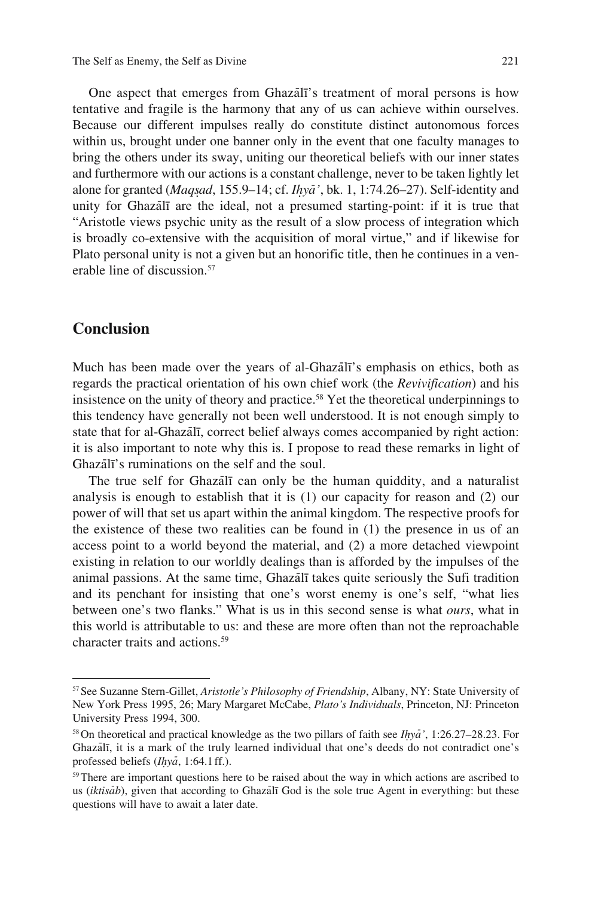One aspect that emerges from Ghazali's treatment of moral persons is how tentative and fragile is the harmony that any of us can achieve within ourselves. Because our different impulses really do constitute distinct autonomous forces within us, brought under one banner only in the event that one faculty manages to bring the others under its sway, uniting our theoretical beliefs with our inner states and furthermore with our actions is a constant challenge, never to be taken lightly let alone for granted (*Maqs*.*ad*, 155.9–14; cf. *Ih*.*ya- '*, bk. 1, 1:74.26–27). Self-identity and unity for Ghazali are the ideal, not a presumed starting-point: if it is true that "Aristotle views psychic unity as the result of a slow process of integration which is broadly co-extensive with the acquisition of moral virtue," and if likewise for Plato personal unity is not a given but an honorific title, then he continues in a venerable line of discussion.<sup>57</sup>

#### **Conclusion**

Much has been made over the years of al-Ghazali's emphasis on ethics, both as regards the practical orientation of his own chief work (the *Revivification*) and his insistence on the unity of theory and practice.58 Yet the theoretical underpinnings to this tendency have generally not been well understood. It is not enough simply to state that for al-Ghazali, correct belief always comes accompanied by right action: it is also important to note why this is. I propose to read these remarks in light of Ghaz $\bar{a}$ Iī's ruminations on the self and the soul.

The true self for Ghazali can only be the human quiddity, and a naturalist analysis is enough to establish that it is (1) our capacity for reason and (2) our power of will that set us apart within the animal kingdom. The respective proofs for the existence of these two realities can be found in (1) the presence in us of an access point to a world beyond the material, and (2) a more detached viewpoint existing in relation to our worldly dealings than is afforded by the impulses of the animal passions. At the same time, Ghazali takes quite seriously the Sufi tradition and its penchant for insisting that one's worst enemy is one's self, "what lies between one's two flanks." What is us in this second sense is what *ours*, what in this world is attributable to us: and these are more often than not the reproachable character traits and actions.59

<sup>57</sup> See Suzanne Stern-Gillet, *Aristotle's Philosophy of Friendship*, Albany, NY: State University of New York Press 1995, 26; Mary Margaret McCabe, *Plato's Individuals*, Princeton, NJ: Princeton University Press 1994, 300.

<sup>58</sup> On theoretical and practical knowledge as the two pillars of faith see *Ih.ya- '*, 1:26.27–28.23. For Ghazali, it is a mark of the truly learned individual that one's deeds do not contradict one's professed beliefs (*Ihya*, 1:64.1 ff.).

<sup>&</sup>lt;sup>59</sup> There are important questions here to be raised about the way in which actions are ascribed to inter are important questions need to be raised about the way in which actions are asserted to us *(iktisab)*, given that according to Ghazali God is the sole true Agent in everything: but these questions will have to await a later date.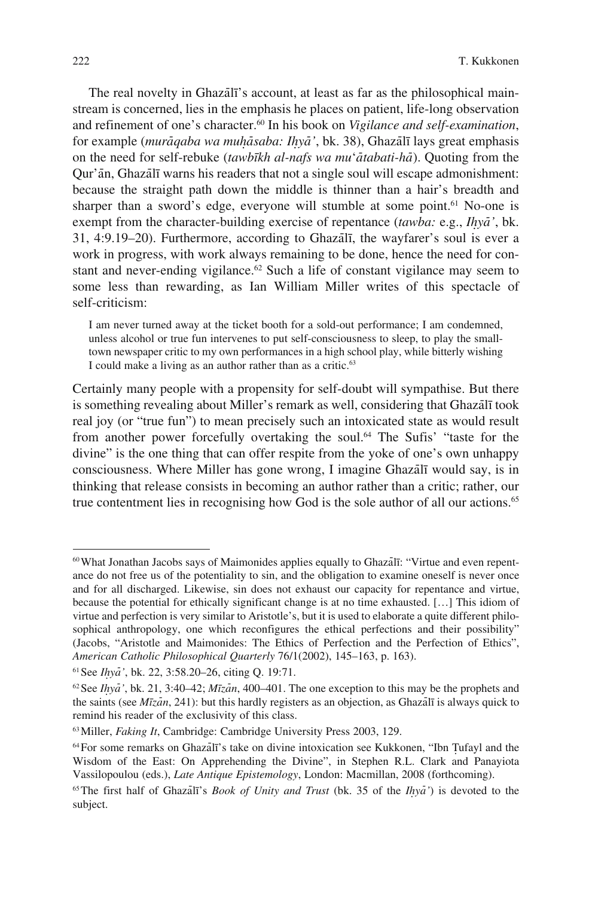The real novelty in Ghazali's account, at least as far as the philosophical mainstream is concerned, lies in the emphasis he places on patient, life-long observation and refinement of one's character.<sup>60</sup> In his book on *Vigilance and self-examination*, for example (*murāqaba wa muḥāsaba: Iḥyā'*, bk. 38), Ghazālī lays great emphasis on the need for self-rebuke (*tawbīkh al-nafs wa mu'atabati-ha*). Quoting from the Qur'ān, Ghazālī warns his readers that not a single soul will escape admonishment: because the straight path down the middle is thinner than a hair's breadth and sharper than a sword's edge, everyone will stumble at some point.<sup>61</sup> No-one is exempt from the character-building exercise of repentance (*tawba:* e.g., *Ihya'*, bk. 31, 4:9.19–20). Furthermore, according to Ghazali, the wayfarer's soul is ever a work in progress, with work always remaining to be done, hence the need for constant and never-ending vigilance.<sup>62</sup> Such a life of constant vigilance may seem to some less than rewarding, as Ian William Miller writes of this spectacle of self-criticism:

I am never turned away at the ticket booth for a sold-out performance; I am condemned, unless alcohol or true fun intervenes to put self-consciousness to sleep, to play the smalltown newspaper critic to my own performances in a high school play, while bitterly wishing I could make a living as an author rather than as a critic.<sup>63</sup>

Certainly many people with a propensity for self-doubt will sympathise. But there is something revealing about Miller's remark as well, considering that Ghazali took real joy (or "true fun") to mean precisely such an intoxicated state as would result from another power forcefully overtaking the soul.<sup>64</sup> The Sufis' "taste for the divine" is the one thing that can offer respite from the yoke of one's own unhappy consciousness. Where Miller has gone wrong, I imagine Ghazali would say, is in thinking that release consists in becoming an author rather than a critic; rather, our true contentment lies in recognising how God is the sole author of all our actions.65

<sup>&</sup>lt;sup>60</sup> What Jonathan Jacobs says of Maimonides applies equally to Ghazali: "Virtue and even repentance do not free us of the potentiality to sin, and the obligation to examine oneself is never once and for all discharged. Likewise, sin does not exhaust our capacity for repentance and virtue, because the potential for ethically significant change is at no time exhausted. […] This idiom of virtue and perfection is very similar to Aristotle's, but it is used to elaborate a quite different philosophical anthropology, one which reconfigures the ethical perfections and their possibility" (Jacobs, "Aristotle and Maimonides: The Ethics of Perfection and the Perfection of Ethics", *American Catholic Philosophical Quarterly* 76/1(2002), 145–163, p. 163).

<sup>61</sup> See *Ih.ya- '*, bk. 22, 3:58.20–26, citing Q. 19:71.

<sup>&</sup>lt;sup>62</sup> See *Ihya*<sup>'</sup>, bk. 21, 3:40–42; *Mīzan*, 400–401. The one exception to this may be the prophets and the saints (see  $M\bar{z}a\bar{n}$ , 241): but this hardly registers as an objection, as Ghazali is always quick to remind his reader of the exclusivity of this class.

<sup>63</sup> Miller, *Faking It*, Cambridge: Cambridge University Press 2003, 129.

<sup>&</sup>lt;sup>64</sup> For some remarks on GhazaIi's take on divine intoxication see Kukkonen, "Ibn Tufayl and the Wisdom of the East: On Apprehending the Divine", in Stephen R.L. Clark and Panayiota Vassilopoulou (eds.), *Late Antique Epistemology*, London: Macmillan, 2008 (forthcoming).

<sup>&</sup>lt;sup>65</sup> The first half of Ghazali<sup>'</sup>s *Book of Unity and Trust* (bk. 35 of the *Ihya<sup>-</sup>*) is devoted to the subject.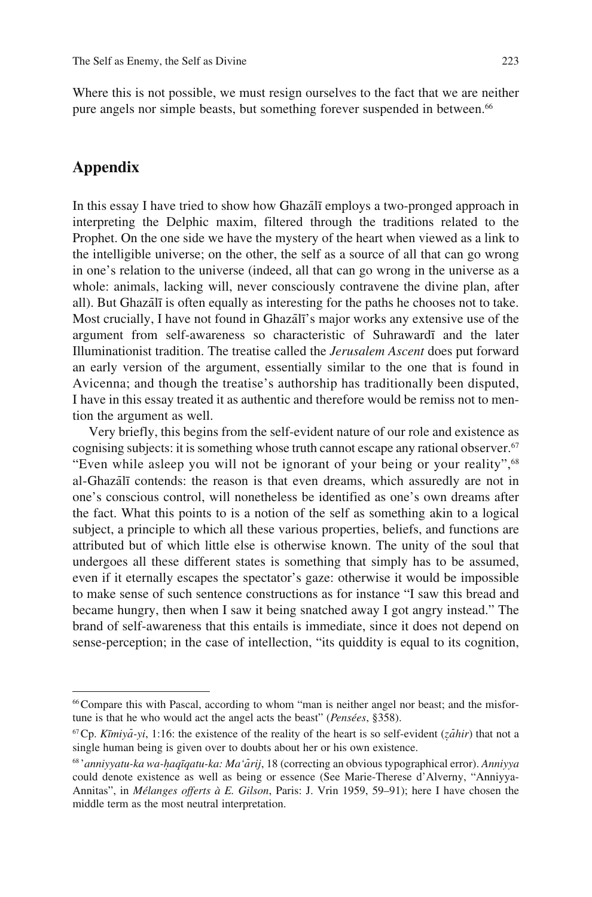Where this is not possible, we must resign ourselves to the fact that we are neither pure angels nor simple beasts, but something forever suspended in between.<sup>66</sup>

# **Appendix**

In this essay I have tried to show how Ghazali employs a two-pronged approach in interpreting the Delphic maxim, filtered through the traditions related to the Prophet. On the one side we have the mystery of the heart when viewed as a link to the intelligible universe; on the other, the self as a source of all that can go wrong in one's relation to the universe (indeed, all that can go wrong in the universe as a whole: animals, lacking will, never consciously contravene the divine plan, after all). But Ghazali is often equally as interesting for the paths he chooses not to take. Most crucially, I have not found in Ghazali's major works any extensive use of the argument from self-awareness so characteristic of Suhrawardī and the later Illuminationist tradition. The treatise called the *Jerusalem Ascent* does put forward an early version of the argument, essentially similar to the one that is found in Avicenna; and though the treatise's authorship has traditionally been disputed, I have in this essay treated it as authentic and therefore would be remiss not to mention the argument as well.

Very briefly, this begins from the self-evident nature of our role and existence as cognising subjects: it is something whose truth cannot escape any rational observer.<sup>67</sup> "Even while asleep you will not be ignorant of your being or your reality",<sup>68</sup> al-Ghazālī contends: the reason is that even dreams, which assuredly are not in one's conscious control, will nonetheless be identified as one's own dreams after the fact. What this points to is a notion of the self as something akin to a logical subject, a principle to which all these various properties, beliefs, and functions are attributed but of which little else is otherwise known. The unity of the soul that undergoes all these different states is something that simply has to be assumed, even if it eternally escapes the spectator's gaze: otherwise it would be impossible to make sense of such sentence constructions as for instance "I saw this bread and became hungry, then when I saw it being snatched away I got angry instead." The brand of self-awareness that this entails is immediate, since it does not depend on sense-perception; in the case of intellection, "its quiddity is equal to its cognition,

<sup>66</sup> Compare this with Pascal, according to whom "man is neither angel nor beast; and the misfortune is that he who would act the angel acts the beast" (*Pensées*, §358).

 $^{67}$ Cp. *Kīmiya-yi*, 1:16: the existence of the reality of the heart is so self-evident (*zahir*) that not a single human being is given over to doubts about her or his own existence.

<sup>68 &#</sup>x27;*anniyyatu-ka wa-h.aqīqatu-ka: Ma'a-rij*, 18 (correcting an obvious typographical error). *Anniyya* could denote existence as well as being or essence (See Marie-Therese d'Alverny, "Anniyya-Annitas", in *Mélanges offerts à E. Gilson*, Paris: J. Vrin 1959, 59–91); here I have chosen the middle term as the most neutral interpretation.